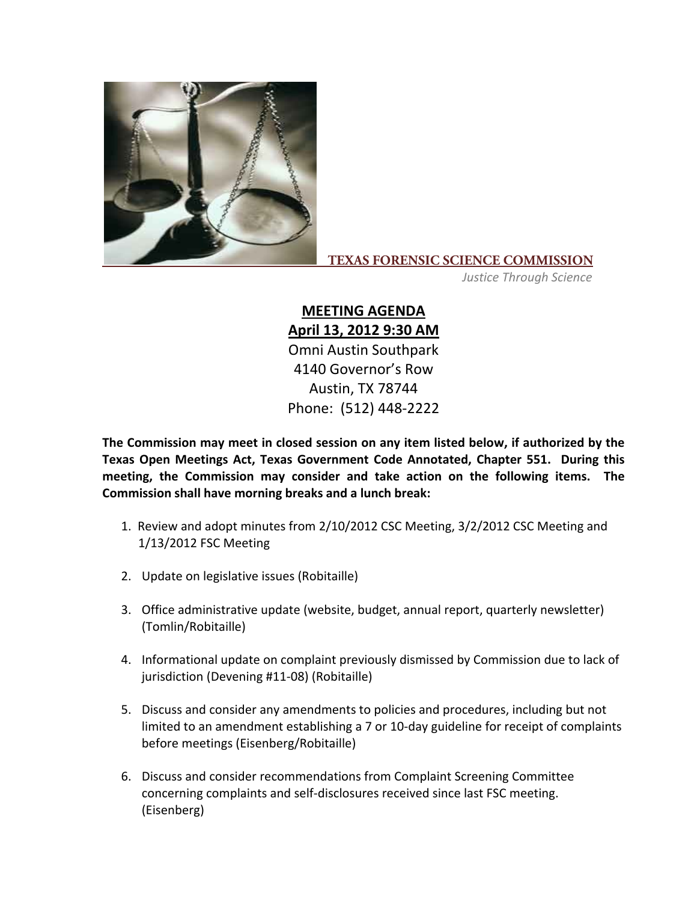

## **TEXAS FORENSIC SCIENCE COMMISSION**

*Justice Through Science*

## **MEETING AGENDA April 13, 2012 9:30 AM** Omni Austin Southpark 4140 Governor's Row Austin, TX 78744 Phone: (512) 448‐2222

**The Commission may meet in closed session on any item listed below, if authorized by the Texas Open Meetings Act, Texas Government Code Annotated, Chapter 551. During this meeting, the Commission may consider and take action on the following items. The Commission shall have morning breaks and a lunch break:**

- 1. Review and adopt minutes from 2/10/2012 CSC Meeting, 3/2/2012 CSC Meeting and 1/13/2012 FSC Meeting
- 2. Update on legislative issues (Robitaille)
- 3. Office administrative update (website, budget, annual report, quarterly newsletter) (Tomlin/Robitaille)
- 4. Informational update on complaint previously dismissed by Commission due to lack of jurisdiction (Devening #11‐08) (Robitaille)
- 5. Discuss and consider any amendments to policies and procedures, including but not limited to an amendment establishing a 7 or 10‐day guideline for receipt of complaints before meetings (Eisenberg/Robitaille)
- 6. Discuss and consider recommendations from Complaint Screening Committee concerning complaints and self‐disclosures received since last FSC meeting. (Eisenberg)